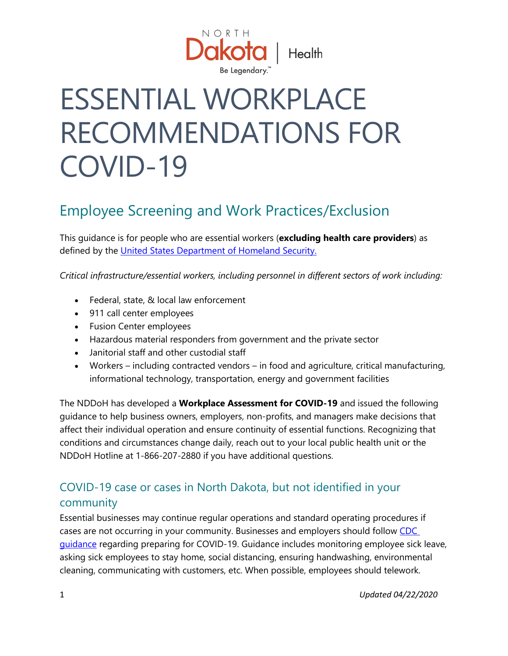

# ESSENTIAL WORKPLACE RECOMMENDATIONS FOR COVID-19

## Employee Screening and Work Practices/Exclusion

This guidance is for people who are essential workers (**excluding health care providers**) as defined by the [United States Department of Homeland Security.](https://www.cisa.gov/publication/guidance-essential-critical-infrastructure-workforce)

*Critical infrastructure/essential workers, including personnel in different sectors of work including:*

- Federal, state, & local law enforcement
- 911 call center employees
- Fusion Center employees
- Hazardous material responders from government and the private sector
- Janitorial staff and other custodial staff
- Workers including contracted vendors in food and agriculture, critical manufacturing, informational technology, transportation, energy and government facilities

The NDDoH has developed a **Workplace Assessment for COVID-19** and issued the following guidance to help business owners, employers, non-profits, and managers make decisions that affect their individual operation and ensure continuity of essential functions. Recognizing that conditions and circumstances change daily, reach out to your local public health unit or the NDDoH Hotline at 1-866-207-2880 if you have additional questions.

#### COVID-19 case or cases in North Dakota, but not identified in your community

Essential businesses may continue regular operations and standard operating procedures if cases are not occurring in your community. Businesses and employers should follow [CDC](https://www.cdc.gov/coronavirus/2019-ncov/community/organizations/businesses-employers.html)  [guidance](https://www.cdc.gov/coronavirus/2019-ncov/community/organizations/businesses-employers.html) regarding preparing for COVID-19. Guidance includes monitoring employee sick leave, asking sick employees to stay home, social distancing, ensuring handwashing, environmental cleaning, communicating with customers, etc. When possible, employees should telework.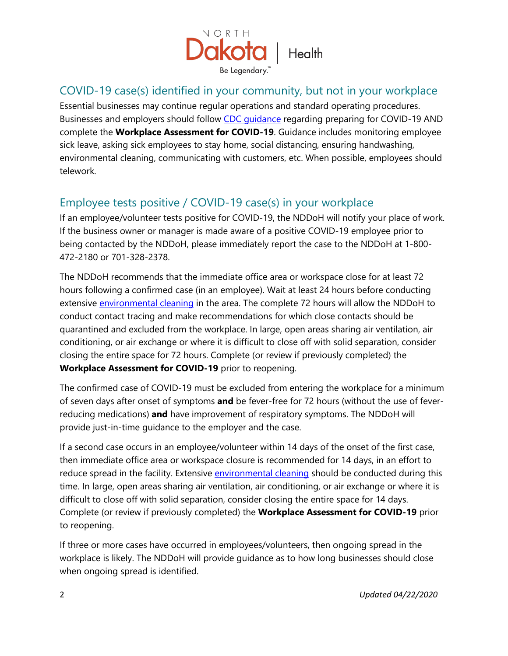

#### COVID-19 case(s) identified in your community, but not in your workplace

Essential businesses may continue regular operations and standard operating procedures. Businesses and employers should follow [CDC guidance](https://www.cdc.gov/coronavirus/2019-ncov/community/organizations/businesses-employers.html) regarding preparing for COVID-19 AND complete the **Workplace Assessment for COVID-19**. Guidance includes monitoring employee sick leave, asking sick employees to stay home, social distancing, ensuring handwashing, environmental cleaning, communicating with customers, etc. When possible, employees should telework.

#### Employee tests positive / COVID-19 case(s) in your workplace

If an employee/volunteer tests positive for COVID-19, the NDDoH will notify your place of work. If the business owner or manager is made aware of a positive COVID-19 employee prior to being contacted by the NDDoH, please immediately report the case to the NDDoH at 1-800- 472-2180 or 701-328-2378.

The NDDoH recommends that the immediate office area or workspace close for at least 72 hours following a confirmed case (in an employee). Wait at least 24 hours before conducting extensive [environmental cleaning](https://www.cdc.gov/coronavirus/2019-ncov/community/organizations/cleaning-disinfection.html) in the area. The complete 72 hours will allow the NDDoH to conduct contact tracing and make recommendations for which close contacts should be quarantined and excluded from the workplace. In large, open areas sharing air ventilation, air conditioning, or air exchange or where it is difficult to close off with solid separation, consider closing the entire space for 72 hours. Complete (or review if previously completed) the **Workplace Assessment for COVID-19** prior to reopening.

The confirmed case of COVID-19 must be excluded from entering the workplace for a minimum of seven days after onset of symptoms **and** be fever-free for 72 hours (without the use of feverreducing medications) **and** have improvement of respiratory symptoms. The NDDoH will provide just-in-time guidance to the employer and the case.

If a second case occurs in an employee/volunteer within 14 days of the onset of the first case, then immediate office area or workspace closure is recommended for 14 days, in an effort to reduce spread in the facility. Extensive [environmental cleaning](https://www.cdc.gov/coronavirus/2019-ncov/community/organizations/cleaning-disinfection.html) should be conducted during this time. In large, open areas sharing air ventilation, air conditioning, or air exchange or where it is difficult to close off with solid separation, consider closing the entire space for 14 days. Complete (or review if previously completed) the **Workplace Assessment for COVID-19** prior to reopening.

If three or more cases have occurred in employees/volunteers, then ongoing spread in the workplace is likely. The NDDoH will provide guidance as to how long businesses should close when ongoing spread is identified.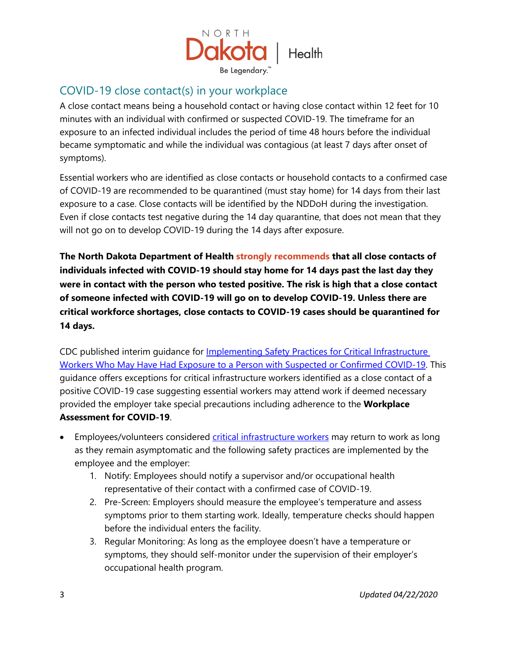

#### COVID-19 close contact(s) in your workplace

A close contact means being a household contact or having close contact within 12 feet for 10 minutes with an individual with confirmed or suspected COVID-19. The timeframe for an exposure to an infected individual includes the period of time 48 hours before the individual became symptomatic and while the individual was contagious (at least 7 days after onset of symptoms).

Essential workers who are identified as close contacts or household contacts to a confirmed case of COVID-19 are recommended to be quarantined (must stay home) for 14 days from their last exposure to a case. Close contacts will be identified by the NDDoH during the investigation. Even if close contacts test negative during the 14 day quarantine, that does not mean that they will not go on to develop COVID-19 during the 14 days after exposure.

**The North Dakota Department of Health strongly recommends that all close contacts of individuals infected with COVID-19 should stay home for 14 days past the last day they were in contact with the person who tested positive. The risk is high that a close contact of someone infected with COVID-19 will go on to develop COVID-19. Unless there are critical workforce shortages, close contacts to COVID-19 cases should be quarantined for 14 days.**

CDC published interim guidance for [Implementing Safety Practices for Critical Infrastructure](https://www.cdc.gov/coronavirus/2019-ncov/community/critical-workers/implementing-safety-practices.html)  [Workers Who May Have Had Exposure to a Person with Suspected or Confirmed COVID-19.](https://www.cdc.gov/coronavirus/2019-ncov/community/critical-workers/implementing-safety-practices.html) This guidance offers exceptions for critical infrastructure workers identified as a close contact of a positive COVID-19 case suggesting essential workers may attend work if deemed necessary provided the employer take special precautions including adherence to the **Workplace Assessment for COVID-19**.

- Employees/volunteers considered [critical infrastructure workers](https://www.cdc.gov/coronavirus/2019-ncov/community/critical-workers/implementing-safety-practices.html) may return to work as long as they remain asymptomatic and the following safety practices are implemented by the employee and the employer:
	- 1. Notify: Employees should notify a supervisor and/or occupational health representative of their contact with a confirmed case of COVID-19.
	- 2. Pre-Screen: Employers should measure the employee's temperature and assess symptoms prior to them starting work. Ideally, temperature checks should happen before the individual enters the facility.
	- 3. Regular Monitoring: As long as the employee doesn't have a temperature or symptoms, they should self-monitor under the supervision of their employer's occupational health program.